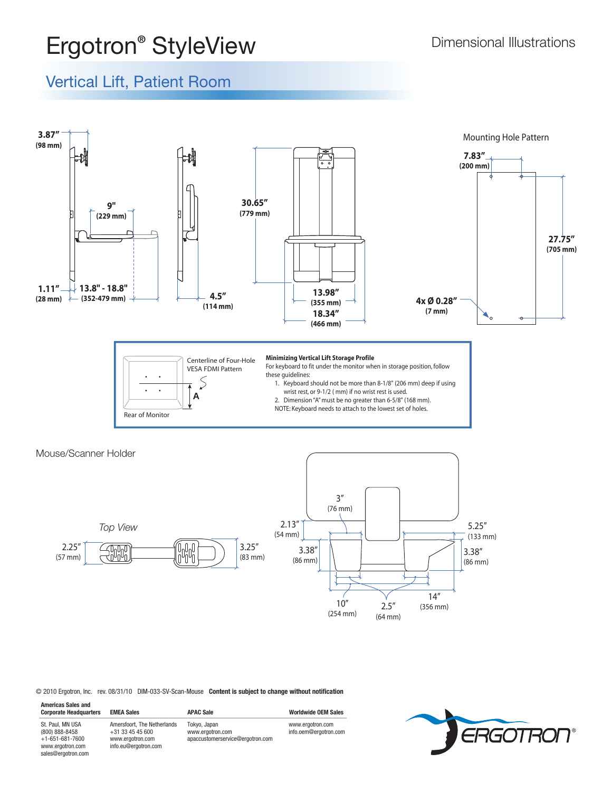## **Ergotron<sup>®</sup> StyleView Dimensional Illustrations**

## Vertical Lift, Patient Room







© 2010 Ergotron, Inc. rev. 08/31/10 DIM-033-SV-Scan-Mouse **Content is subject to change without notification**

| <b>Americas Sales and</b><br><b>Corporate Headquarters</b>                                              | <b>EMEA Sales</b>                                                                             | <b>APAC Sale</b>                                                     | <b>Worldwide OEM Sales</b>                |
|---------------------------------------------------------------------------------------------------------|-----------------------------------------------------------------------------------------------|----------------------------------------------------------------------|-------------------------------------------|
| St. Paul, MN USA<br>(800) 888-8458<br>$+1 - 651 - 681 - 7600$<br>www.ergotron.com<br>sales@ergotron.com | Amersfoort, The Netherlands<br>$+31$ 33 45 45 600<br>www.ergotron.com<br>info.eu@ergotron.com | Tokyo, Japan<br>www.ergotron.com<br>apaccustomerservice@ergotron.com | www.ergotron.com<br>info.oem@eraotron.com |